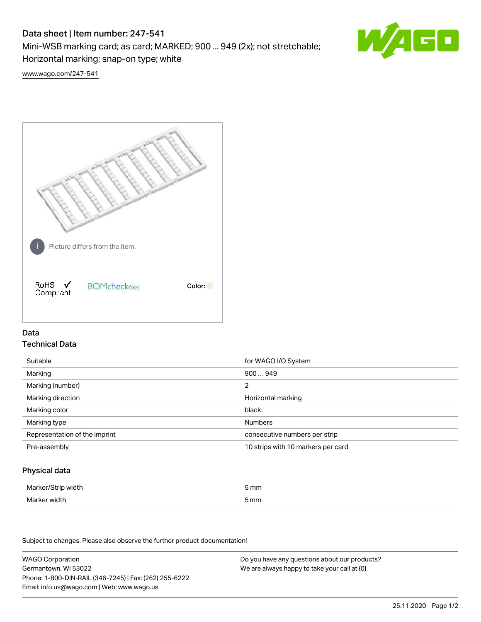# Data sheet | Item number: 247-541

Mini-WSB marking card; as card; MARKED; 900 ... 949 (2x); not stretchable;

Horizontal marking; snap-on type; white

60

[www.wago.com/247-541](http://www.wago.com/247-541)



## Data Technical Data

| Suitable                      | for WAGO I/O System                |
|-------------------------------|------------------------------------|
| Marking                       | 900949                             |
| Marking (number)              | 2                                  |
| Marking direction             | Horizontal marking                 |
| Marking color                 | black                              |
| Marking type                  | <b>Numbers</b>                     |
| Representation of the imprint | consecutive numbers per strip      |
| Pre-assembly                  | 10 strips with 10 markers per card |

## Physical data

| Marker/Strip width | 5 mm  |
|--------------------|-------|
| Marker width       | mm כֿ |

Subject to changes. Please also observe the further product documentation!

WAGO Corporation Germantown, WI 53022 Phone: 1-800-DIN-RAIL (346-7245) | Fax: (262) 255-6222 Email: info.us@wago.com | Web: www.wago.us Do you have any questions about our products? We are always happy to take your call at {0}.

25.11.2020 Page 1/2